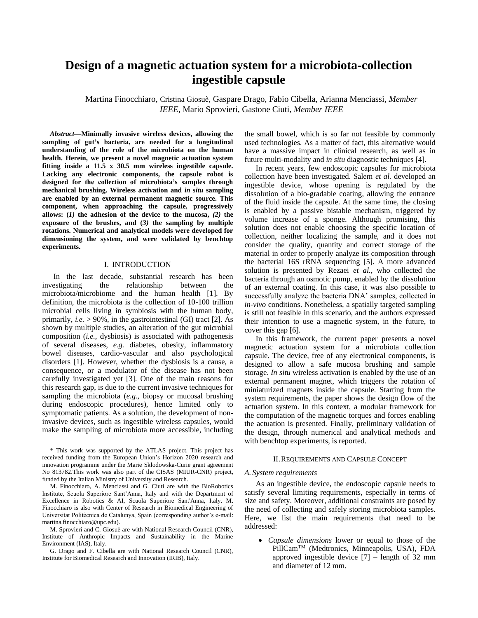# **Design of a magnetic actuation system for a microbiota-collection ingestible capsule**

Martina Finocchiaro, Cristina Giosuè, Gaspare Drago, Fabio Cibella, Arianna Menciassi, *Member IEEE,* Mario Sprovieri, Gastone Ciuti, *Member IEEE*

*Abstract***—Minimally invasive wireless devices, allowing the sampling of gut's bacteria, are needed for a longitudinal understanding of the role of the microbiota on the human health. Herein, we present a novel magnetic actuation system fitting inside a 11.5 x 30.5 mm wireless ingestible capsule. Lacking any electronic components, the capsule robot is designed for the collection of microbiota's samples through mechanical brushing. Wireless activation and** *in situ* **sampling are enabled by an external permanent magnetic source. This component, when approaching the capsule, progressively allows: (***1)* **the adhesion of the device to the mucosa,** *(2)* **the exposure of the brushes, and (***3)* **the sampling by multiple rotations. Numerical and analytical models were developed for dimensioning the system, and were validated by benchtop experiments.**

#### I. INTRODUCTION

In the last decade, substantial research has been investigating the relationship between the microbiota/microbiome and the human health [1]. By definition, the microbiota is the collection of 10-100 trillion microbial cells living in symbiosis with the human body, primarily, *i.e.* > 90%, in the gastrointestinal (GI) tract [2]. As shown by multiple studies, an alteration of the gut microbial composition (*i.e.*, dysbiosis) is associated with pathogenesis of several diseases, *e.g.* diabetes, obesity, inflammatory bowel diseases, cardio-vascular and also psychological disorders [1]. However, whether the dysbiosis is a cause, a consequence, or a modulator of the disease has not been carefully investigated yet [3]. One of the main reasons for this research gap, is due to the current invasive techniques for sampling the microbiota (*e.g.*, biopsy or mucosal brushing during endoscopic procedures), hence limited only to symptomatic patients. As a solution, the development of noninvasive devices, such as ingestible wireless capsules, would make the sampling of microbiota more accessible, including

\* This work was supported by the ATLAS project. This project has received funding from the European Union's Horizon 2020 research and innovation programme under the Marie Sklodowska-Curie grant agreement No 813782.This work was also part of the CISAS (MIUR-CNR) project, funded by the Italian Ministry of University and Research.

M. Finocchiaro, A. Menciassi and G. Ciuti are with the BioRobotics Institute, Scuola Superiore Sant'Anna, Italy and with the Department of Excellence in Robotics & AI, Scuola Superiore Sant'Anna, Italy. M. Finocchiaro is also with Center of Research in Biomedical Engineering of Universitat Politècnica de Catalunya, Spain (corresponding author's e-mail: martina.finocchiaro@upc.edu).

M. Sprovieri and C. Giosuè are with National Research Council (CNR), Institute of Anthropic Impacts and Sustainability in the Marine Environment (IAS), Italy.

G. Drago and F. Cibella are with National Research Council (CNR), Institute for Biomedical Research and Innovation (IRIB), Italy.

the small bowel, which is so far not feasible by commonly used technologies. As a matter of fact, this alternative would have a massive impact in clinical research, as well as in future multi-modality and *in situ* diagnostic techniques [4].

In recent years, few endoscopic capsules for microbiota collection have been investigated. Salem *et al.* developed an ingestible device, whose opening is regulated by the dissolution of a bio-gradable coating, allowing the entrance of the fluid inside the capsule. At the same time, the closing is enabled by a passive bistable mechanism, triggered by volume increase of a sponge. Although promising, this solution does not enable choosing the specific location of collection, neither localizing the sample, and it does not consider the quality, quantity and correct storage of the material in order to properly analyze its composition through the bacterial 16S rRNA sequencing [5]. A more advanced solution is presented by Rezaei *et al.*, who collected the bacteria through an osmotic pump, enabled by the dissolution of an external coating. In this case, it was also possible to successfully analyze the bacteria DNA' samples, collected in *in-vivo* conditions. Nonetheless, a spatially targeted sampling is still not feasible in this scenario, and the authors expressed their intention to use a magnetic system, in the future, to cover this gap [6].

In this framework, the current paper presents a novel magnetic actuation system for a microbiota collection capsule. The device, free of any electronical components, is designed to allow a safe mucosa brushing and sample storage. *In situ* wireless activation is enabled by the use of an external permanent magnet, which triggers the rotation of miniaturized magnets inside the capsule. Starting from the system requirements, the paper shows the design flow of the actuation system. In this context, a modular framework for the computation of the magnetic torques and forces enabling the actuation is presented. Finally, preliminary validation of the design, through numerical and analytical methods and with benchtop experiments, is reported.

## II.REQUIREMENTS AND CAPSULE CONCEPT

#### *A. System requirements*

As an ingestible device, the endoscopic capsule needs to satisfy several limiting requirements, especially in terms of size and safety. Moreover, additional constraints are posed by the need of collecting and safely storing microbiota samples. Here, we list the main requirements that need to be addressed:

• *Capsule dimensions* lower or equal to those of the PillCamTM (Medtronics, Minneapolis, USA), FDA approved ingestible device  $[7]$  – length of 32 mm and diameter of 12 mm.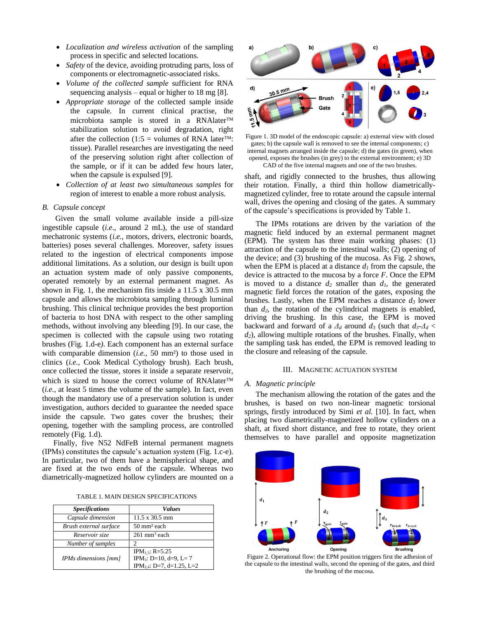- *Localization and wireless activation* of the sampling process in specific and selected locations.
- *Safety* of the device, avoiding protruding parts, loss of components or electromagnetic-associated risks.
- *Volume of the collected sample* sufficient for RNA sequencing analysis – equal or higher to 18 mg [8].
- *Appropriate storage* of the collected sample inside the capsule. In current clinical practise, the microbiota sample is stored in a RNAlater stabilization solution to avoid degradation, right after the collection (1:5 = volumes of RNA later<sup>TM</sup>: tissue). Parallel researches are investigating the need of the preserving solution right after collection of the sample, or if it can be added few hours later, when the capsule is expulsed [9].
- *Collection of at least two simultaneous samples* for region of interest to enable a more robust analysis.

# *B. Capsule concept*

Given the small volume available inside a pill-size ingestible capsule (*i.e.*, around 2 mL), the use of standard mechatronic systems (*i.e.*, motors, drivers, electronic boards, batteries) poses several challenges. Moreover, safety issues related to the ingestion of electrical components impose additional limitations. As a solution, our design is built upon an actuation system made of only passive components, operated remotely by an external permanent magnet. As shown in Fig. 1, the mechanism fits inside a 11.5 x 30.5 mm capsule and allows the microbiota sampling through luminal brushing. This clinical technique provides the best proportion of bacteria to host DNA with respect to the other sampling methods, without involving any bleeding [9]. In our case, the specimen is collected with the capsule using two rotating brushes (Fig. 1.d-e*)*. Each component has an external surface with comparable dimension (*i.e.*, 50 mm²) to those used in clinics (*i.e.*, Cook Medical Cythology brush). Each brush, once collected the tissue, stores it inside a separate reservoir, which is sized to house the correct volume of RNAlater<sup>TM</sup> (*i.e.*, at least 5 times the volume of the sample). In fact, even though the mandatory use of a preservation solution is under investigation, authors decided to guarantee the needed space inside the capsule. Two gates cover the brushes; their opening, together with the sampling process, are controlled remotely (Fig. 1.d).

Finally, five N52 NdFeB internal permanent magnets (IPMs) constitutes the capsule's actuation system (Fig. 1.c-e). In particular, two of them have a hemispherical shape, and are fixed at the two ends of the capsule. Whereas two diametrically-magnetized hollow cylinders are mounted on a

TABLE 1. MAIN DESIGN SPECIFICATIONS

| <b>Specifications</b>  | <b>Values</b>                         |  |
|------------------------|---------------------------------------|--|
| Capsule dimension      | $11.5 \times 30.5 \text{ mm}$         |  |
| Brush external surface | 50 mm <sup>2</sup> each               |  |
| Reservoir size         | $261$ mm <sup>3</sup> each            |  |
| Number of samples      |                                       |  |
|                        | IPM <sub>1.5</sub> : R=5.25           |  |
| IPMs dimensions [mm]   | IPM <sub>3</sub> : D=10, d=9, L=7     |  |
|                        | IPM <sub>2.4</sub> : D=7, d=1.25, L=2 |  |



Figure 1. 3D model of the endoscopic capsule: a) external view with closed gates; b) the capsule wall is removed to see the internal components; c) internal magnets arranged inside the capsule; d) the gates (in green), when opened, exposes the brushes (in grey) to the external environment; e) 3D CAD of the five internal magnets and one of the two brushes.

shaft, and rigidly connected to the brushes, thus allowing their rotation. Finally, a third thin hollow diametricallymagnetized cylinder, free to rotate around the capsule internal wall, drives the opening and closing of the gates. A summary of the capsule's specifications is provided by Table 1.

The IPMs rotations are driven by the variation of the magnetic field induced by an external permanent magnet (EPM). The system has three main working phases: (1) attraction of the capsule to the intestinal walls; (2) opening of the device; and (3) brushing of the mucosa. As Fig. 2 shows, when the EPM is placed at a distance *d<sup>1</sup>* from the capsule, the device is attracted to the mucosa by a force *F*. Once the EPM is moved to a distance  $d_2$  smaller than  $d_1$ , the generated magnetic field forces the rotation of the gates, exposing the brushes. Lastly, when the EPM reaches a distance *d<sup>3</sup>* lower than *d2*, the rotation of the cylindrical magnets is enabled, driving the brushing. In this case, the EPM is moved backward and forward of a  $\Delta_d$  around  $d_3$  (such that  $d_3$ - $\Delta_d$  < *d2*), allowing multiple rotations of the brushes. Finally, when the sampling task has ended, the EPM is removed leading to the closure and releasing of the capsule.

## III. MAGNETIC ACTUATION SYSTEM

#### *A. Magnetic principle*

The mechanism allowing the rotation of the gates and the brushes, is based on two non-linear magnetic torsional springs, firstly introduced by Simi *et al.* [10]. In fact, when placing two diametrically-magnetized hollow cylinders on a shaft, at fixed short distance, and free to rotate, they orient themselves to have parallel and opposite magnetization



Figure 2. Operational flow: the EPM position triggers first the adhesion of the capsule to the intestinal walls, second the opening of the gates, and third the brushing of the mucosa.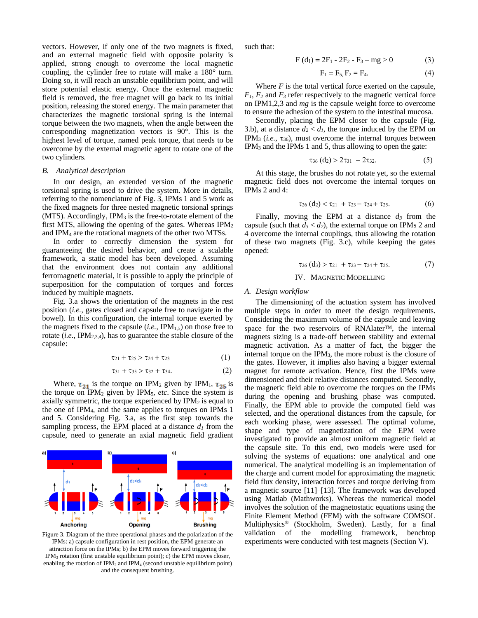vectors. However, if only one of the two magnets is fixed, and an external magnetic field with opposite polarity is applied, strong enough to overcome the local magnetic coupling, the cylinder free to rotate will make a 180° turn. Doing so, it will reach an unstable equilibrium point, and will store potential elastic energy. Once the external magnetic field is removed, the free magnet will go back to its initial position, releasing the stored energy. The main parameter that characterizes the magnetic torsional spring is the internal torque between the two magnets, when the angle between the corresponding magnetization vectors is 90°. This is the highest level of torque, named peak torque, that needs to be overcome by the external magnetic agent to rotate one of the two cylinders.

## *B. Analytical description*

In our design, an extended version of the magnetic torsional spring is used to drive the system. More in details, referring to the nomenclature of Fig. 3, IPMs 1 and 5 work as the fixed magnets for three nested magnetic torsional springs  $(MTS)$ . Accordingly, IPM<sub>3</sub> is the free-to-rotate element of the first MTS, allowing the opening of the gates. Whereas  $IPM<sub>2</sub>$ and IPM<sup>4</sup> are the rotational magnets of the other two MTSs.

In order to correctly dimension the system for guaranteeing the desired behavior, and create a scalable framework, a static model has been developed. Assuming that the environment does not contain any additional ferromagnetic material, it is possible to apply the principle of superposition for the computation of torques and forces induced by multiple magnets.

Fig. 3.a shows the orientation of the magnets in the rest position (*i.e.*, gates closed and capsule free to navigate in the bowel). In this configuration, the internal torque exerted by the magnets fixed to the capsule  $(i.e., \text{IPM}_{1.5})$  on those free to rotate (*i.e.,* IPM2,3,4), has to guarantee the stable closure of the capsule:

$$
\tau_{21} + \tau_{25} > \tau_{24} + \tau_{23} \tag{1}
$$

$$
\tau_{31} + \tau_{35} > \tau_{32} + \tau_{34}.\tag{2}
$$

Where,  $\tau_{21}$  is the torque on IPM<sub>2</sub> given by IPM<sub>1</sub>,  $\tau_{25}$  is the torque on  $IPM<sub>2</sub>$  given by  $IPM<sub>5</sub>$ , *etc*. Since the system is axially symmetric, the torque experienced by  $IPM<sub>2</sub>$  is equal to the one of IPM4, and the same applies to torques on IPMs 1 and 5. Considering Fig. 3.a, as the first step towards the sampling process, the EPM placed at a distance  $d<sub>l</sub>$  from the capsule, need to generate an axial magnetic field gradient



Figure 3. Diagram of the three operational phases and the polarization of the IPMs: a) capsule configuration in rest position, the EPM generate an attraction force on the IPMs; b) the EPM moves forward triggering the IPM<sup>3</sup> rotation (first unstable equilibrium point); c) the EPM moves closer, enabling the rotation of  $IPM<sub>2</sub>$  and  $IPM<sub>4</sub>$  (second unstable equilibrium point) and the consequent brushing.

such that:

$$
F(d_1) = 2F_1 - 2F_2 - F_3 - mg > 0
$$
 (3)

$$
F_1 = F_5, F_2 = F_4.
$$
 (4)

Where  $F$  is the total vertical force exerted on the capsule,  $F_1$ ,  $F_2$  and  $F_3$  refer respectively to the magnetic vertical force on IPM1,2,3 and *mg* is the capsule weight force to overcome to ensure the adhesion of the system to the intestinal mucosa.

Secondly, placing the EPM closer to the capsule (Fig. 3.b), at a distance  $d_2 < d_1$ , the torque induced by the EPM on IPM<sub>3</sub> (*i.e.*,  $\tau_{36}$ ), must overcome the internal torques between IPM<sup>3</sup> and the IPMs 1 and 5, thus allowing to open the gate:

$$
\tau_{36} (d_2) > 2\tau_{31} - 2\tau_{32}.
$$
 (5)

At this stage, the brushes do not rotate yet, so the external magnetic field does not overcome the internal torques on IPMs 2 and 4:

$$
\tau_{26} (d_2) < \tau_{21} + \tau_{23} - \tau_{24} + \tau_{25}. \tag{6}
$$

Finally, moving the EPM at a distance  $d_3$  from the capsule (such that  $d_3 < d_2$ ), the external torque on IPMs 2 and 4 overcome the internal couplings, thus allowing the rotation of these two magnets (Fig. 3.c), while keeping the gates opened:

$$
\tau_{26} (d_3) > \tau_{21} + \tau_{23} - \tau_{24} + \tau_{25}. \tag{7}
$$

# IV. MAGNETIC MODELLING

# *A. Design workflow*

The dimensioning of the actuation system has involved multiple steps in order to meet the design requirements. Considering the maximum volume of the capsule and leaving space for the two reservoirs of RNAlater<sup>TM</sup>, the internal magnets sizing is a trade-off between stability and external magnetic activation. As a matter of fact, the bigger the internal torque on the IPM3, the more robust is the closure of the gates. However, it implies also having a bigger external magnet for remote activation. Hence, first the IPMs were dimensioned and their relative distances computed. Secondly, the magnetic field able to overcome the torques on the IPMs during the opening and brushing phase was computed. Finally, the EPM able to provide the computed field was selected, and the operational distances from the capsule, for each working phase, were assessed. The optimal volume, shape and type of magnetization of the EPM were investigated to provide an almost uniform magnetic field at the capsule site. To this end, two models were used for solving the systems of equations: one analytical and one numerical. The analytical modelling is an implementation of the charge and current model for approximating the magnetic field flux density, interaction forces and torque deriving from a magnetic source [11]–[13]. The framework was developed using Matlab (Mathworks). Whereas the numerical model involves the solution of the magnetostatic equations using the Finite Element Method (FEM) with the software COMSOL Multiphysics® (Stockholm, Sweden). Lastly, for a final validation of the modelling framework, benchtop experiments were conducted with test magnets (Section V).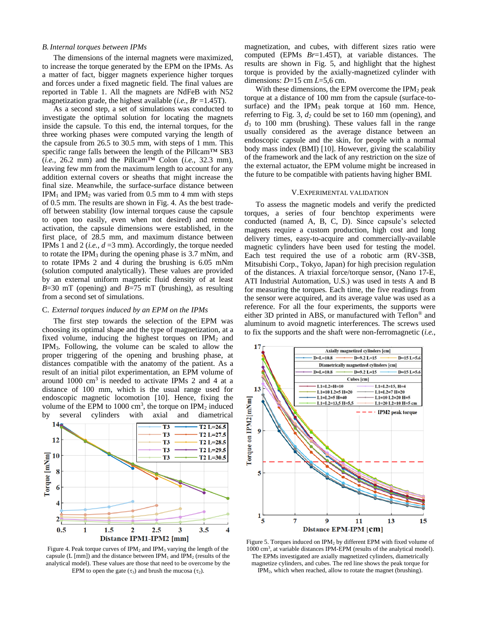# *B.Internal torques between IPMs*

The dimensions of the internal magnets were maximized, to increase the torque generated by the EPM on the IPMs. As a matter of fact, bigger magnets experience higher torques and forces under a fixed magnetic field. The final values are reported in Table 1. All the magnets are NdFeB with N52 magnetization grade, the highest available (*i.e.*, *Br* =1.45T).

As a second step, a set of simulations was conducted to investigate the optimal solution for locating the magnets inside the capsule. To this end, the internal torques, for the three working phases were computed varying the length of the capsule from 26.5 to 30.5 mm, with steps of 1 mm. This specific range falls between the length of the Pillcam™ SB3  $(i.e., 26.2 mm)$  and the Pillcam<sup>TM</sup> Colon  $(i.e., 32.3 mm)$ , leaving few mm from the maximum length to account for any addition external covers or sheaths that might increase the final size. Meanwhile, the surface-surface distance between IPM<sub>1</sub> and IPM<sub>2</sub> was varied from 0.5 mm to 4 mm with steps of 0.5 mm. The results are shown in Fig. 4. As the best tradeoff between stability (low internal torques cause the capsule to open too easily, even when not desired) and remote activation, the capsule dimensions were established, in the first place, of 28.5 mm, and maximum distance between IPMs 1 and 2 (*i.e.*, *d* =3 mm). Accordingly, the torque needed to rotate the IPM<sup>3</sup> during the opening phase is 3.7 mNm, and to rotate IPMs 2 and 4 during the brushing is 6.05 mNm (solution computed analytically). These values are provided by an external uniform magnetic fluid density of at least *B*=30 mT (opening) and *B*=75 mT (brushing), as resulting from a second set of simulations.

# C. *External torques induced by an EPM on the IPMs*

The first step towards the selection of the EPM was choosing its optimal shape and the type of magnetization, at a fixed volume, inducing the highest torques on  $IPM<sub>2</sub>$  and IPM3. Following, the volume can be scaled to allow the proper triggering of the opening and brushing phase, at distances compatible with the anatomy of the patient. As a result of an initial pilot experimentation, an EPM volume of around 1000 cm<sup>3</sup> is needed to activate IPMs 2 and 4 at a distance of 100 mm, which is the usual range used for endoscopic magnetic locomotion [10]. Hence, fixing the volume of the EPM to 1000  $\text{cm}^3$ , the torque on IPM<sub>2</sub> induced by several cylinders with axial and diametrical



Figure 4. Peak torque curves of IPM<sub>2</sub> and IPM<sub>3</sub> varying the length of the capsule (L [mm]) and the distance between  $IPM<sub>1</sub>$  and  $IPM<sub>2</sub>$  (results of the analytical model). These values are those that need to be overcome by the EPM to open the gate  $(\tau_3)$  and brush the mucosa  $(\tau_2)$ .

magnetization, and cubes, with different sizes ratio were computed (EPMs *Br*=1.45T), at variable distances. The results are shown in Fig. 5, and highlight that the highest torque is provided by the axially-magnetized cylinder with dimensions: *D*=15 cm *L*=5,6 cm.

With these dimensions, the EPM overcome the  $IPM<sub>2</sub>$  peak torque at a distance of 100 mm from the capsule (surface-tosurface) and the IPM<sub>3</sub> peak torque at 160 mm. Hence, referring to Fig. 3, *d<sup>2</sup>* could be set to 160 mm (opening), and *d*<sup>3</sup> to 100 mm (brushing). These values fall in the range usually considered as the average distance between an endoscopic capsule and the skin, for people with a normal body mass index (BMI) [10]. However, giving the scalability of the framework and the lack of any restriction on the size of the external actuator, the EPM volume might be increased in the future to be compatible with patients having higher BMI.

# V.EXPERIMENTAL VALIDATION

To assess the magnetic models and verify the predicted torques, a series of four benchtop experiments were conducted (named A, B, C, D). Since capsule's selected magnets require a custom production, high cost and long delivery times, easy-to-acquire and commercially-available magnetic cylinders have been used for testing the model. Each test required the use of a robotic arm (RV-3SB, Mitsubishi Corp., Tokyo, Japan) for high precision regulation of the distances. A triaxial force/torque sensor, (Nano 17-E, ATI Industrial Automation, U.S.) was used in tests A and B for measuring the torques. Each time, the five readings from the sensor were acquired, and its average value was used as a reference. For all the four experiments, the supports were either 3D printed in ABS, or manufactured with Teflon® and aluminum to avoid magnetic interferences. The screws used to fix the supports and the shaft were non-ferromagnetic (*i.e.*,



Figure 5. Torques induced on IPM<sup>2</sup> by different EPM with fixed volume of 1000 cm<sup>3</sup> , at variable distances IPM-EPM (results of the analytical model). The EPMs investigated are axially magnetized cylinders, diametrically magnetize cylinders, and cubes. The red line shows the peak torque for IPM2, which when reached, allow to rotate the magnet (brushing).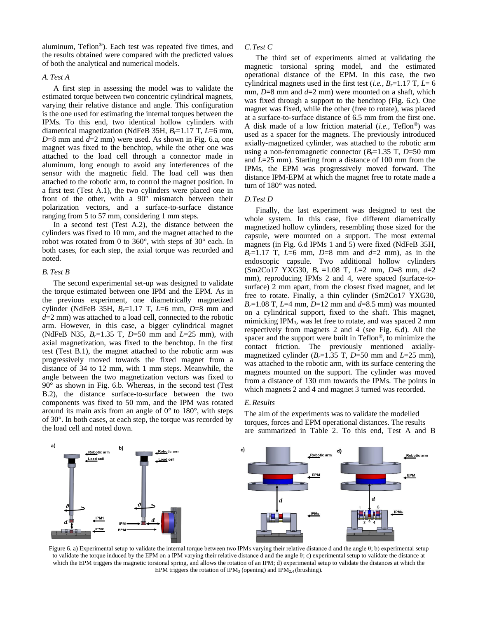aluminum, Teflon®). Each test was repeated five times, and the results obtained were compared with the predicted values of both the analytical and numerical models.

# *A. Test A*

A first step in assessing the model was to validate the estimated torque between two concentric cylindrical magnets, varying their relative distance and angle. This configuration is the one used for estimating the internal torques between the IPMs. To this end, two identical hollow cylinders with diametrical magnetization (NdFeB 35H, *Br*=1.17 T, *L*=6 mm,  $D=8$  mm and  $d=2$  mm) were used. As shown in Fig. 6.a, one magnet was fixed to the benchtop, while the other one was attached to the load cell through a connector made in aluminum, long enough to avoid any interferences of the sensor with the magnetic field. The load cell was then attached to the robotic arm, to control the magnet position. In a first test (Test A.1), the two cylinders were placed one in front of the other, with a  $90^\circ$  mismatch between their polarization vectors, and a surface-to-surface distance ranging from 5 to 57 mm, considering 1 mm steps.

In a second test (Test A.2), the distance between the cylinders was fixed to 10 mm, and the magnet attached to the robot was rotated from 0 to 360°, with steps of 30° each. In both cases, for each step, the axial torque was recorded and noted.

# *B. Test B*

The second experimental set-up was designed to validate the torque estimated between one IPM and the EPM. As in the previous experiment, one diametrically magnetized cylinder (NdFeB 35H, *Br*=1.17 T, *L*=6 mm, *D*=8 mm and *d*=2 mm) was attached to a load cell, connected to the robotic arm. However, in this case, a bigger cylindrical magnet (NdFeB N35, *Br*=1.35 T, *D*=50 mm and *L*=25 mm), with axial magnetization, was fixed to the benchtop. In the first test (Test B.1), the magnet attached to the robotic arm was progressively moved towards the fixed magnet from a distance of 34 to 12 mm, with 1 mm steps. Meanwhile, the angle between the two magnetization vectors was fixed to  $90^\circ$  as shown in Fig. 6.b. Whereas, in the second test (Test B.2), the distance surface-to-surface between the two components was fixed to 50 mm, and the IPM was rotated around its main axis from an angle of 0° to 180°, with steps of 30°. In both cases, at each step, the torque was recorded by the load cell and noted down.

#### *C.Test C*

The third set of experiments aimed at validating the magnetic torsional spring model, and the estimated operational distance of the EPM. In this case, the two cylindrical magnets used in the first test (*i.e.*,  $B_r = 1.17$  T,  $L = 6$ mm, *D*=8 mm and *d*=2 mm) were mounted on a shaft, which was fixed through a support to the benchtop (Fig. 6.c). One magnet was fixed, while the other (free to rotate), was placed at a surface-to-surface distance of 6.5 mm from the first one. A disk made of a low friction material (*i.e.*, Teflon®) was used as a spacer for the magnets. The previously introduced axially-magnetized cylinder, was attached to the robotic arm using a non-ferromagnetic connector (*Br*=1.35 T, *D*=50 mm and *L*=25 mm). Starting from a distance of 100 mm from the IPMs, the EPM was progressively moved forward. The distance IPM-EPM at which the magnet free to rotate made a turn of 180° was noted.

#### *D.Test D*

Finally, the last experiment was designed to test the whole system. In this case, five different diametrically magnetized hollow cylinders, resembling those sized for the capsule, were mounted on a support. The most external magnets (in Fig. 6.d IPMs 1 and 5) were fixed (NdFeB 35H,  $B_r=1.17$  T,  $L=6$  mm,  $D=8$  mm and  $d=2$  mm), as in the endoscopic capsule. Two additional hollow cylinders (Sm2Co17 YXG30, *B<sup>r</sup>* =1.08 T, *L*=2 mm, *D*=8 mm, *d*=2 mm), reproducing IPMs 2 and 4, were spaced (surface-tosurface) 2 mm apart, from the closest fixed magnet, and let free to rotate. Finally, a thin cylinder (Sm2Co17 YXG30, *B*<sub>*r*</sub>=1.08 T, *L*=4 mm, *D*=12 mm and *d*=8.5 mm) was mounted on a cylindrical support, fixed to the shaft. This magnet, mimicking IPM3, was let free to rotate, and was spaced 2 mm respectively from magnets 2 and 4 (see Fig. 6.d). All the spacer and the support were built in Teflon®, to minimize the contact friction. The previously mentioned axiallymagnetized cylinder  $(B<sub>r</sub>=1.35$  T,  $D=50$  mm and  $L=25$  mm), was attached to the robotic arm, with its surface centering the magnets mounted on the support. The cylinder was moved from a distance of 130 mm towards the IPMs. The points in which magnets 2 and 4 and magnet 3 turned was recorded.

# *E.Results*

The aim of the experiments was to validate the modelled torques, forces and EPM operational distances. The results are summarized in Table 2. To this end, Test A and B



Figure 6. a) Experimental setup to validate the internal torque between two IPMs varying their relative distance d and the angle θ; b) experimental setup to validate the torque induced by the EPM on a IPM varying their relative distance d and the angle θ; c) experimental setup to validate the distance at which the EPM triggers the magnetic torsional spring, and allows the rotation of an IPM; d) experimental setup to validate the distances at which the EPM triggers the rotation of IPM<sub>3</sub> (opening) and IPM<sub>2.4</sub> (brushing).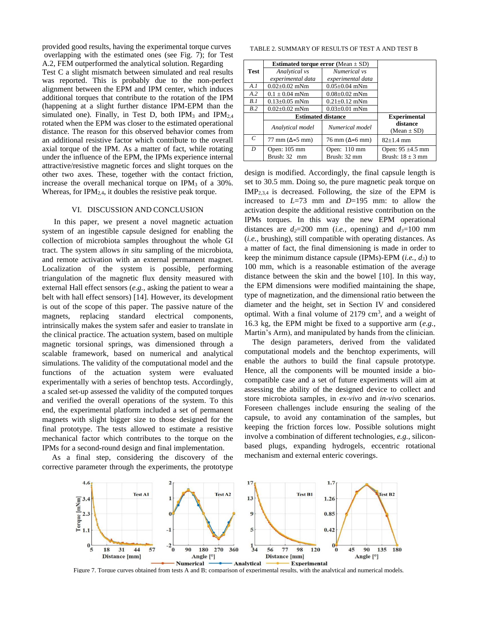provided good results, having the experimental torque curves overlapping with the estimated ones (see Fig. 7); for Test A.2, FEM outperformed the analytical solution. Regarding

Test C a slight mismatch between simulated and real results was reported. This is probably due to the non-perfect alignment between the EPM and IPM center, which induces additional torques that contribute to the rotation of the IPM (happening at a slight further distance IPM-EPM than the simulated one). Finally, in Test D, both IPM<sub>3</sub> and IPM<sub>2,4</sub> rotated when the EPM was closer to the estimated operational distance. The reason for this observed behavior comes from an additional resistive factor which contribute to the overall axial torque of the IPM. As a matter of fact, while rotating under the influence of the EPM, the IPMs experience internal attractive/resistive magnetic forces and slight torques on the other two axes. These, together with the contact friction, increase the overall mechanical torque on  $IPM<sub>3</sub>$  of a 30%. Whereas, for  $IPM<sub>2,4</sub>$ , it doubles the resistive peak torque.

# VI. DISCUSSION AND CONCLUSION

 In this paper, we present a novel magnetic actuation system of an ingestible capsule designed for enabling the collection of microbiota samples throughout the whole GI tract. The system allows *in situ* sampling of the microbiota, and remote activation with an external permanent magnet. Localization of the system is possible, performing triangulation of the magnetic flux density measured with external Hall effect sensors (*e.g.,* asking the patient to wear a belt with hall effect sensors) [14]. However, its development is out of the scope of this paper. The passive nature of the magnets, replacing standard electrical components, intrinsically makes the system safer and easier to translate in the clinical practice. The actuation system, based on multiple magnetic torsional springs, was dimensioned through a scalable framework, based on numerical and analytical simulations. The validity of the computational model and the functions of the actuation system were evaluated experimentally with a series of benchtop tests. Accordingly, a scaled set-up assessed the validity of the computed torques and verified the overall operations of the system. To this end, the experimental platform included a set of permanent magnets with slight bigger size to those designed for the final prototype. The tests allowed to estimate a resistive mechanical factor which contributes to the torque on the IPMs for a second-round design and final implementation.

As a final step, considering the discovery of the corrective parameter through the experiments, the prototype

TABLE 2. SUMMARY OF RESULTS OF TEST A AND TEST B

|             | <b>Estimated torque error</b> (Mean $\pm$ SD) |                                             |                       |
|-------------|-----------------------------------------------|---------------------------------------------|-----------------------|
| <b>Test</b> | Analytical vs                                 | Numerical vs                                |                       |
|             | experimental data                             | experimental data                           |                       |
| A.I         | $0.02 + 0.02$ mNm                             | $0.05 \pm 0.04$ mNm                         |                       |
| A.2         | $0.1 \pm 0.04$ mNm                            | $0.08 \pm 0.02$ mNm                         |                       |
| B.1         | $0.13 \pm 0.05$ mNm                           | $0.21 \pm 0.12$ mNm                         |                       |
| B.2         | $0.02 \pm 0.02$ mNm                           | $0.03 \pm 0.01$ mNm                         |                       |
|             | <b>Estimated distance</b>                     |                                             | <b>Experimental</b>   |
|             | Analytical model                              | Numerical model                             | distance              |
|             |                                               |                                             | (Mean $\pm$ SD)       |
| C           | $77 \text{ mm}$ ( $\Delta = 5 \text{ mm}$ )   | $76 \text{ mm}$ ( $\Delta = 6 \text{ mm}$ ) | $82+1.4$ mm           |
| D           | Open: $105 \text{ mm}$                        | Open: $110 \text{ mm}$                      | Open: $95 \pm 4.5$ mm |
|             | Brush: 32 mm                                  | Brush: 32 mm                                | Brush: $18 \pm 3$ mm  |

design is modified. Accordingly, the final capsule length is set to 30.5 mm. Doing so, the pure magnetic peak torque on  $IMP_{2,3,4}$  is decreased. Following, the size of the EPM is increased to *L*=73 mm and *D*=195 mm: to allow the activation despite the additional resistive contribution on the IPMs torques. In this way the new EPM operational distances are  $d_2=200$  mm (*i.e.*, opening) and  $d_3=100$  mm (*i.e.,* brushing), still compatible with operating distances. As a matter of fact, the final dimensioning is made in order to keep the minimum distance capsule (IPMs)-EPM (*i.e., d3*) to 100 mm, which is a reasonable estimation of the average distance between the skin and the bowel [10]. In this way, the EPM dimensions were modified maintaining the shape, type of magnetization, and the dimensional ratio between the diameter and the height, set in Section IV and considered optimal. With a final volume of  $2179 \text{ cm}^3$ , and a weight of 16.3 kg, the EPM might be fixed to a supportive arm (*e.g.,* Martin's Arm), and manipulated by hands from the clinician.

The design parameters, derived from the validated computational models and the benchtop experiments, will enable the authors to build the final capsule prototype. Hence, all the components will be mounted inside a biocompatible case and a set of future experiments will aim at assessing the ability of the designed device to collect and store microbiota samples, in *ex-vivo* and *in-vivo* scenarios. Foreseen challenges include ensuring the sealing of the capsule, to avoid any contamination of the samples, but keeping the friction forces low. Possible solutions might involve a combination of different technologies, *e.g.,* siliconbased plugs, expanding hydrogels, eccentric rotational mechanism and external enteric coverings.



Figure 7. Torque curves obtained from tests A and B; comparison of experimental results, with the analytical and numerical models.